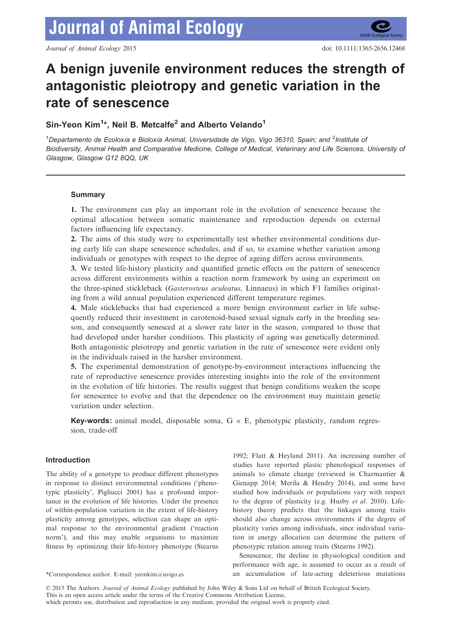**British Ecological Set** 

# A benign juvenile environment reduces the strength of antagonistic pleiotropy and genetic variation in the rate of senescence

# Sin-Yeon Kim<sup>1\*</sup>, Neil B. Metcalfe<sup>2</sup> and Alberto Velando<sup>1</sup>

<sup>1</sup>Departamento de Ecoloxía e Bioloxía Animal, Universidade de Vigo, Vigo 36310, Spain; and <sup>2</sup>Institute ot Biodiversity, Animal Health and Comparative Medicine, College of Medical, Veterinary and Life Sciences, University of Glasgow, Glasgow G12 8QQ, UK

# **Summary**

1. The environment can play an important role in the evolution of senescence because the optimal allocation between somatic maintenance and reproduction depends on external factors influencing life expectancy.

2. The aims of this study were to experimentally test whether environmental conditions during early life can shape senescence schedules, and if so, to examine whether variation among individuals or genotypes with respect to the degree of ageing differs across environments.

3. We tested life-history plasticity and quantified genetic effects on the pattern of senescence across different environments within a reaction norm framework by using an experiment on the three-spined stickleback (Gasterosteus aculeatus, Linnaeus) in which F1 families originating from a wild annual population experienced different temperature regimes.

4. Male sticklebacks that had experienced a more benign environment earlier in life subsequently reduced their investment in carotenoid-based sexual signals early in the breeding season, and consequently senesced at a slower rate later in the season, compared to those that had developed under harsher conditions. This plasticity of ageing was genetically determined. Both antagonistic pleiotropy and genetic variation in the rate of senescence were evident only in the individuals raised in the harsher environment.

5. The experimental demonstration of genotype-by-environment interactions influencing the rate of reproductive senescence provides interesting insights into the role of the environment in the evolution of life histories. The results suggest that benign conditions weaken the scope for senescence to evolve and that the dependence on the environment may maintain genetic variation under selection.

**Key-words:** animal model, disposable soma,  $G \times E$ , phenotypic plasticity, random regression, trade-off

# Introduction

The ability of a genotype to produce different phenotypes in response to distinct environmental conditions ('phenotypic plasticity', Pigliucci 2001) has a profound importance in the evolution of life histories. Under the presence of within-population variation in the extent of life-history plasticity among genotypes, selection can shape an optimal response to the environmental gradient ('reaction norm'), and this may enable organisms to maximize fitness by optimizing their life-history phenotype (Stearns

1992; Flatt & Heyland 2011). An increasing number of studies have reported plastic phenological responses of animals to climate change (reviewed in Charmantier & Gienapp 2014; Merila & Hendry 2014), and some have studied how individuals or populations vary with respect to the degree of plasticity (e.g. Husby et al. 2010). Lifehistory theory predicts that the linkages among traits should also change across environments if the degree of plasticity varies among individuals, since individual variation in energy allocation can determine the pattern of phenotypic relation among traits (Stearns 1992).

Senescence, the decline in physiological condition and performance with age, is assumed to occur as a result of \*Correspondence author. E-mail: yeonkim@uvigo.es an accumulation of late-acting deleterious mutations

© 2015 The Authors. Journal of Animal Ecology published by John Wiley & Sons Ltd on behalf of British Ecological Society.

This is an open access article under the terms of the [Creative Commons Attribution](http://dx.doi.org/10.5061/dryad.s6h6b) License,

which permits use, distribution and reproduction in any medium, provided the original work is properly cited.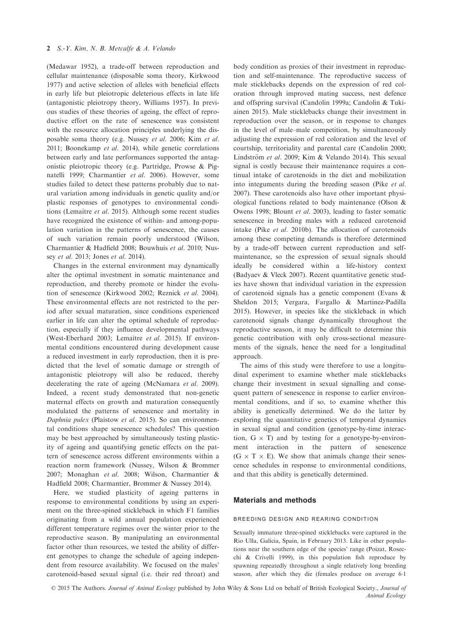(Medawar 1952), a trade-off between reproduction and cellular maintenance (disposable soma theory, Kirkwood 1977) and active selection of alleles with beneficial effects in early life but pleiotropic deleterious effects in late life (antagonistic pleiotropy theory, Williams 1957). In previous studies of these theories of ageing, the effect of reproductive effort on the rate of senescence was consistent with the resource allocation principles underlying the disposable soma theory (e.g. Nussey et al. 2006; Kim et al. 2011; Boonekamp et al. 2014), while genetic correlations between early and late performances supported the antagonistic pleiotropic theory (e.g. Partridge, Prowse & Pignatelli 1999; Charmantier et al. 2006). However, some studies failed to detect these patterns probably due to natural variation among individuals in genetic quality and/or plastic responses of genotypes to environmental conditions (Lemaître et al. 2015). Although some recent studies have recognized the existence of within- and among-population variation in the patterns of senescence, the causes of such variation remain poorly understood (Wilson, Charmantier & Hadfield 2008; Bouwhuis et al. 2010; Nussey et al. 2013; Jones et al. 2014).

Changes in the external environment may dynamically alter the optimal investment in somatic maintenance and reproduction, and thereby promote or hinder the evolution of senescence (Kirkwood 2002; Reznick et al. 2004). These environmental effects are not restricted to the period after sexual maturation, since conditions experienced earlier in life can alter the optimal schedule of reproduction, especially if they influence developmental pathways (West-Eberhard 2003; Lemaître et al. 2015). If environmental conditions encountered during development cause a reduced investment in early reproduction, then it is predicted that the level of somatic damage or strength of antagonistic pleiotropy will also be reduced, thereby decelerating the rate of ageing (McNamara et al. 2009). Indeed, a recent study demonstrated that non-genetic maternal effects on growth and maturation consequently modulated the patterns of senescence and mortality in Daphnia pulex (Plaistow et al. 2015). So can environmental conditions shape senescence schedules? This question may be best approached by simultaneously testing plasticity of ageing and quantifying genetic effects on the pattern of senescence across different environments within a reaction norm framework (Nussey, Wilson & Brommer 2007; Monaghan et al. 2008; Wilson, Charmantier & Hadfield 2008; Charmantier, Brommer & Nussey 2014).

Here, we studied plasticity of ageing patterns in response to environmental conditions by using an experiment on the three-spined stickleback in which F1 families originating from a wild annual population experienced different temperature regimes over the winter prior to the reproductive season. By manipulating an environmental factor other than resources, we tested the ability of different genotypes to change the schedule of ageing independent from resource availability. We focused on the males' carotenoid-based sexual signal (i.e. their red throat) and body condition as proxies of their investment in reproduction and self-maintenance. The reproductive success of male sticklebacks depends on the expression of red coloration through improved mating success, nest defence and offspring survival (Candolin 1999a; Candolin & Tukiainen 2015). Male sticklebacks change their investment in reproduction over the season, or in response to changes in the level of male–male competition, by simultaneously adjusting the expression of red coloration and the level of courtship, territoriality and parental care (Candolin 2000; Lindström et al. 2009; Kim & Velando 2014). This sexual signal is costly because their maintenance requires a continual intake of carotenoids in the diet and mobilization into integuments during the breeding season (Pike et al. 2007). These carotenoids also have other important physiological functions related to body maintenance (Olson & Owens 1998; Blount et al. 2003), leading to faster somatic senescence in breeding males with a reduced carotenoid intake (Pike et al. 2010b). The allocation of carotenoids among these competing demands is therefore determined by a trade-off between current reproduction and selfmaintenance, so the expression of sexual signals should ideally be considered within a life-history context (Badyaev & Vleck 2007). Recent quantitative genetic studies have shown that individual variation in the expression of carotenoid signals has a genetic component (Evans & Sheldon 2015; Vergara, Fargallo & Martinez-Padilla 2015). However, in species like the stickleback in which carotenoid signals change dynamically throughout the reproductive season, it may be difficult to determine this genetic contribution with only cross-sectional measurements of the signals, hence the need for a longitudinal approach.

The aims of this study were therefore to use a longitudinal experiment to examine whether male sticklebacks change their investment in sexual signalling and consequent pattern of senescence in response to earlier environmental conditions, and if so, to examine whether this ability is genetically determined. We do the latter by exploring the quantitative genetics of temporal dynamics in sexual signal and condition (genotype-by-time interaction,  $G \times T$ ) and by testing for a genotype-by-environment interaction in the pattern of senescence  $(G \times T \times E)$ . We show that animals change their senescence schedules in response to environmental conditions, and that this ability is genetically determined.

#### Materials and methods

#### breeding design and rearing condition

Sexually immature three-spined sticklebacks were captured in the Rio Ulla, Galicia, Spain, in February 2013. Like in other populations near the southern edge of the species' range (Poizat, Rosecchi & Crivelli 1999), in this population fish reproduce by spawning repeatedly throughout a single relatively long breeding season, after which they die (females produce on average 61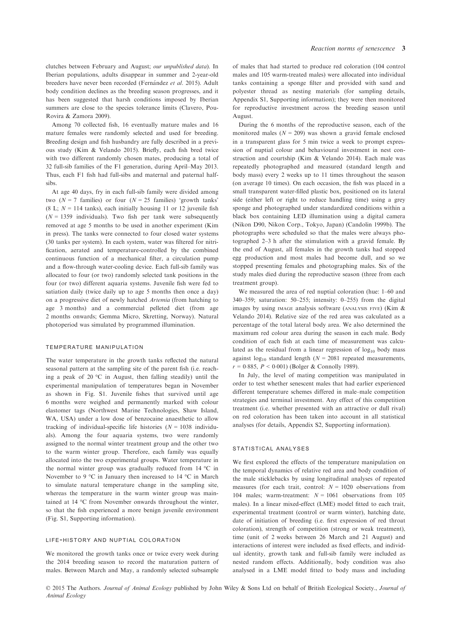clutches between February and August; our unpublished data). In Iberian populations, adults disappear in summer and 2-year-old breeders have never been recorded (Fernández et al. 2015). Adult body condition declines as the breeding season progresses, and it has been suggested that harsh conditions imposed by Iberian summers are close to the species tolerance limits (Clavero, Pou-Rovira & Zamora 2009).

Among 70 collected fish, 16 eventually mature males and 16 mature females were randomly selected and used for breeding. Breeding design and fish husbandry are fully described in a previous study (Kim & Velando 2015). Briefly, each fish bred twice with two different randomly chosen mates, producing a total of 32 full-sib families of the F1 generation, during April–May 2013. Thus, each F1 fish had full-sibs and maternal and paternal halfsibs.

At age 40 days, fry in each full-sib family were divided among two ( $N = 7$  families) or four ( $N = 25$  families) 'growth tanks' (8 L;  $N = 114$  tanks), each initially housing 11 or 12 juvenile fish  $(N = 1359$  individuals). Two fish per tank were subsequently removed at age 5 months to be used in another experiment (Kim in press). The tanks were connected to four closed water systems (30 tanks per system). In each system, water was filtered for nitrification, aerated and temperature-controlled by the combined continuous function of a mechanical filter, a circulation pump and a flow-through water-cooling device. Each full-sib family was allocated to four (or two) randomly selected tank positions in the four (or two) different aquaria systems. Juvenile fish were fed to satiation daily (twice daily up to age 5 months then once a day) on a progressive diet of newly hatched Artemia (from hatching to age 3 months) and a commercial pelleted diet (from age 2 months onwards; Gemma Micro, Skretting, Norway). Natural photoperiod was simulated by programmed illumination.

#### temperature manipulation

The water temperature in the growth tanks reflected the natural seasonal pattern at the sampling site of the parent fish (i.e. reaching a peak of 20 °C in August, then falling steadily) until the experimental manipulation of temperatures began in November as shown in Fig. S1. Juvenile fishes that survived until age 6 months were weighed and permanently marked with colour elastomer tags (Northwest Marine Technologies, Shaw Island, WA, USA) under a low dose of benzocaine anaesthetic to allow tracking of individual-specific life histories ( $N = 1038$  individuals). Among the four aquaria systems, two were randomly assigned to the normal winter treatment group and the other two to the warm winter group. Therefore, each family was equally allocated into the two experimental groups. Water temperature in the normal winter group was gradually reduced from 14 °C in November to 9 °C in January then increased to 14 °C in March to simulate natural temperature change in the sampling site, whereas the temperature in the warm winter group was maintained at 14 °C from November onwards throughout the winter, so that the fish experienced a more benign juvenile environment (Fig. S1, Supporting information).

#### life-history and nuptial coloration

We monitored the growth tanks once or twice every week during the 2014 breeding season to record the maturation pattern of males. Between March and May, a randomly selected subsample of males that had started to produce red coloration (104 control males and 105 warm-treated males) were allocated into individual tanks containing a sponge filter and provided with sand and polyester thread as nesting materials (for sampling details, Appendix S1, Supporting information); they were then monitored for reproductive investment across the breeding season until August.

During the 6 months of the reproductive season, each of the monitored males ( $N = 209$ ) was shown a gravid female enclosed in a transparent glass for 5 min twice a week to prompt expression of nuptial colour and behavioural investment in nest construction and courtship (Kim & Velando 2014). Each male was repeatedly photographed and measured (standard length and body mass) every 2 weeks up to 11 times throughout the season (on average 10 times). On each occasion, the fish was placed in a small transparent water-filled plastic box, positioned on its lateral side (either left or right to reduce handling time) using a grey sponge and photographed under standardized conditions within a black box containing LED illumination using a digital camera (Nikon D90, Nikon Corp., Tokyo, Japan) (Candolin 1999b). The photographs were scheduled so that the males were always photographed 2–3 h after the stimulation with a gravid female. By the end of August, all females in the growth tanks had stopped egg production and most males had become dull, and so we stopped presenting females and photographing males. Six of the study males died during the reproductive season (three from each treatment group).

We measured the area of red nuptial coloration (hue: 1–60 and 340–359; saturation: 50–255; intensity: 0–255) from the digital images by using IMAGE analysis software (ANALYSIS FIVE) (Kim & Velando 2014). Relative size of the red area was calculated as a percentage of the total lateral body area. We also determined the maximum red colour area during the season in each male. Body condition of each fish at each time of measurement was calculated as the residual from a linear regression of  $log_{10}$  body mass against  $log_{10}$  standard length ( $N = 2081$  repeated measurements,  $r = 0.885$ ,  $P < 0.001$ ) (Bolger & Connolly 1989).

In July, the level of mating competition was manipulated in order to test whether senescent males that had earlier experienced different temperature schemes differed in male–male competition strategies and terminal investment. Any effect of this competition treatment (i.e. whether presented with an attractive or dull rival) on red coloration has been taken into account in all statistical analyses (for details, Appendix S2, Supporting information).

#### statistical analyses

We first explored the effects of the temperature manipulation on the temporal dynamics of relative red area and body condition of the male sticklebacks by using longitudinal analyses of repeated measures (for each trait, control:  $N = 1020$  observations from 104 males; warm-treatment:  $N = 1061$  observations from 105 males). In a linear mixed-effect (LME) model fitted to each trait, experimental treatment (control or warm winter), hatching date, date of initiation of breeding (i.e. first expression of red throat coloration), strength of competition (strong or weak treatment), time (unit of 2 weeks between 26 March and 21 August) and interactions of interest were included as fixed effects, and individual identity, growth tank and full-sib family were included as nested random effects. Additionally, body condition was also analysed in a LME model fitted to body mass and including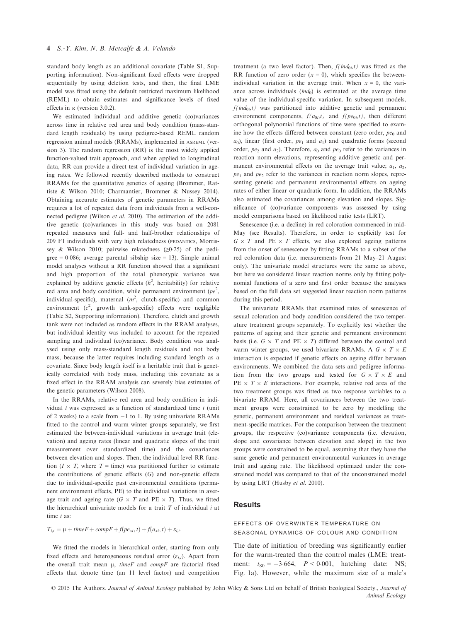standard body length as an additional covariate (Table S1, Supporting information). Non-significant fixed effects were dropped sequentially by using deletion tests, and then, the final LME model was fitted using the default restricted maximum likelihood (REML) to obtain estimates and significance levels of fixed effects in <sup>R</sup> (version 3.0.2).

We estimated individual and additive genetic (co)variances across time in relative red area and body condition (mass-standard length residuals) by using pedigree-based REML random regression animal models (RRAMs), implemented in ASREML (version 3). The random regression (RR) is the most widely applied function-valued trait approach, and when applied to longitudinal data, RR can provide a direct test of individual variation in ageing rates. We followed recently described methods to construct RRAMs for the quantitative genetics of ageing (Brommer, Rattiste & Wilson 2010; Charmantier, Brommer & Nussey 2014). Obtaining accurate estimates of genetic parameters in RRAMs requires a lot of repeated data from individuals from a well-connected pedigree (Wilson et al. 2010). The estimation of the additive genetic (co)variances in this study was based on 2081 repeated measures and full- and half-brother relationships of 209 F1 individuals with very high relatedness (PEDANTICS, Morrissey & Wilson 2010; pairwise relatedness ( $\geq 0.25$ ) of the pedigree =  $0.086$ ; average parental sibship size = 13). Simple animal model analyses without a RR function showed that a significant and high proportion of the total phenotypic variance was explained by additive genetic effects  $(h^2)$ , heritability) for relative red area and body condition, while permanent environment  $(pe^2,$ individual-specific), maternal  $(m^2,$  clutch-specific) and common environment  $(c^2$ , growth tank-specific) effects were negligible (Table S2, Supporting information). Therefore, clutch and growth tank were not included as random effects in the RRAM analyses, but individual identity was included to account for the repeated sampling and individual (co)variance. Body condition was analysed using only mass-standard length residuals and not body mass, because the latter requires including standard length as a covariate. Since body length itself is a heritable trait that is genetically correlated with body mass, including this covariate as a fixed effect in the RRAM analysis can severely bias estimates of the genetic parameters (Wilson 2008).

In the RRAMs, relative red area and body condition in individual  $i$  was expressed as a function of standardized time  $t$  (unit of 2 weeks) to a scale from  $-1$  to 1. By using univariate RRAMs fitted to the control and warm winter groups separately, we first estimated the between-individual variations in average trait (elevation) and ageing rates (linear and quadratic slopes of the trait measurement over standardized time) and the covariances between elevation and slopes. Then, the individual level RR function ( $I \times T$ , where  $T =$  time) was partitioned further to estimate the contributions of genetic effects  $(G)$  and non-genetic effects due to individual-specific past environmental conditions (permanent environment effects, PE) to the individual variations in average trait and ageing rate ( $G \times T$  and PE  $\times T$ ). Thus, we fitted the hierarchical univariate models for a trait  $T$  of individual  $i$  at time t as:

 $T_{i,t} = \mu + timeF + compF + f(pe_{xi},t) + f(a_{xi},t) + \varepsilon_{i,t}.$ 

We fitted the models in hierarchical order, starting from only fixed effects and heterogeneous residual error  $(\varepsilon_{i,t})$ . Apart from the overall trait mean  $\mu$ , timeF and compF are factorial fixed effects that denote time (an 11 level factor) and competition

treatment (a two level factor). Then,  $f(\text{ind}_{0i},t)$  was fitted as the RR function of zero order  $(x = 0)$ , which specifies the betweenindividual variation in the average trait. When  $x = 0$ , the variance across individuals  $(ind<sub>0</sub>)$  is estimated at the average time value of the individual-specific variation. In subsequent models,  $f(\text{ind}_{0i},t)$  was partitioned into additive genetic and permanent environment components,  $f(a_{0i},t)$  and  $f(pe_{0i},t)$ , then different orthogonal polynomial functions of time were specified to examine how the effects differed between constant (zero order,  $pe_0$  and  $a_0$ ), linear (first order,  $pe_1$  and  $a_1$ ) and quadratic forms (second order,  $pe_2$  and  $a_2$ ). Therefore,  $a_0$  and  $pe_0$  refer to the variances in reaction norm elevations, representing additive genetic and permanent environmental effects on the average trait value;  $a_1$ ,  $a_2$ ,  $pe_1$  and  $pe_2$  refer to the variances in reaction norm slopes, representing genetic and permanent environmental effects on ageing rates of either linear or quadratic form. In addition, the RRAMs also estimated the covariances among elevation and slopes. Significance of (co)variance components was assessed by using model comparisons based on likelihood ratio tests (LRT).

Senescence (i.e. a decline) in red coloration commenced in mid-May (see Results). Therefore, in order to explicitly test for  $G \times T$  and PE  $\times T$  effects, we also explored ageing patterns from the onset of senescence by fitting RRAMs to a subset of the red coloration data (i.e. measurements from 21 May–21 August only). The univariate model structures were the same as above, but here we considered linear reaction norms only by fitting polynomial functions of a zero and first order because the analyses based on the full data set suggested linear reaction norm patterns during this period.

The univariate RRAMs that examined rates of senescence of sexual coloration and body condition considered the two temperature treatment groups separately. To explicitly test whether the patterns of ageing and their genetic and permanent environment basis (i.e.  $G \times T$  and PE  $\times T$ ) differed between the control and warm winter groups, we used bivariate RRAMs. A  $G \times T \times E$ interaction is expected if genetic effects on ageing differ between environments. We combined the data sets and pedigree information from the two groups and tested for  $G \times T \times E$  and  $PE \times T \times E$  interactions. For example, relative red area of the two treatment groups was fitted as two response variables to a bivariate RRAM. Here, all covariances between the two treatment groups were constrained to be zero by modelling the genetic, permanent environment and residual variances as treatment-specific matrices. For the comparison between the treatment groups, the respective (co)variance components (i.e. elevation, slope and covariance between elevation and slope) in the two groups were constrained to be equal, assuming that they have the same genetic and permanent environmental variances in average trait and ageing rate. The likelihood optimized under the constrained model was compared to that of the unconstrained model by using LRT (Husby et al. 2010).

### **Results**

#### effects of overwinter temperature on seasonal dynamics of colour and condition

The date of initiation of breeding was significantly earlier for the warm-treated than the control males (LME: treatment:  $t_{80} = -3.664$ ,  $P < 0.001$ , hatching date: NS; Fig. 1a). However, while the maximum size of a male's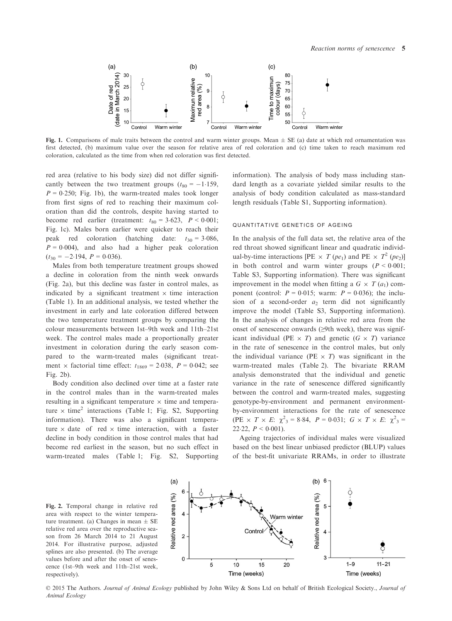

Fig. 1. Comparisons of male traits between the control and warm winter groups. Mean  $\pm$  SE (a) date at which red ornamentation was first detected, (b) maximum value over the season for relative area of red coloration and (c) time taken to reach maximum red coloration, calculated as the time from when red coloration was first detected.

red area (relative to his body size) did not differ significantly between the two treatment groups  $(t_{80} = -1.159)$ ,  $P = 0.250$ ; Fig. 1b), the warm-treated males took longer from first signs of red to reaching their maximum coloration than did the controls, despite having started to become red earlier (treatment:  $t_{80} = 3.623$ ,  $P < 0.001$ ; Fig. 1c). Males born earlier were quicker to reach their peak red coloration (hatching date:  $t_{30} = 3.086$ ,  $P = 0.004$ , and also had a higher peak coloration  $(t_{30} = -2.194, P = 0.036).$ 

Males from both temperature treatment groups showed a decline in coloration from the ninth week onwards (Fig. 2a), but this decline was faster in control males, as indicated by a significant treatment  $\times$  time interaction (Table 1). In an additional analysis, we tested whether the investment in early and late coloration differed between the two temperature treatment groups by comparing the colour measurements between 1st–9th week and 11th–21st week. The control males made a proportionally greater investment in coloration during the early season compared to the warm-treated males (significant treatment  $\times$  factorial time effect:  $t_{1869} = 2.038$ ,  $P = 0.042$ ; see Fig. 2b).

Body condition also declined over time at a faster rate in the control males than in the warm-treated males resulting in a significant temperature  $\times$  time and temperature  $\times$  time<sup>2</sup> interactions (Table 1; Fig. S2, Supporting information). There was also a significant temperature  $\times$  date of red  $\times$  time interaction, with a faster decline in body condition in those control males that had become red earliest in the season, but no such effect in warm-treated males (Table 1; Fig. S2, Supporting information). The analysis of body mass including standard length as a covariate yielded similar results to the analysis of body condition calculated as mass-standard length residuals (Table S1, Supporting information).

#### quantitative genetics of ageing

In the analysis of the full data set, the relative area of the red throat showed significant linear and quadratic individual-by-time interactions [PE  $\times T$  (pe<sub>1</sub>) and PE  $\times T^2$  (pe<sub>2</sub>)] in both control and warm winter groups  $(P < 0.001)$ ; Table S3, Supporting information). There was significant improvement in the model when fitting a  $G \times T(a_1)$  component (control:  $P = 0.015$ ; warm:  $P = 0.036$ ); the inclusion of a second-order  $a_2$  term did not significantly improve the model (Table S3, Supporting information). In the analysis of changes in relative red area from the onset of senescence onwards (≥9th week), there was significant individual (PE  $\times$  T) and genetic (G  $\times$  T) variance in the rate of senescence in the control males, but only the individual variance (PE  $\times$  T) was significant in the warm-treated males (Table 2). The bivariate RRAM analysis demonstrated that the individual and genetic variance in the rate of senescence differed significantly between the control and warm-treated males, suggesting genotype-by-environment and permanent environmentby-environment interactions for the rate of senescence (PE  $\times$  T  $\times$  E:  $\chi^2$ <sub>3</sub> = 8.84, P = 0.031; G  $\times$  T  $\times$  E:  $\chi^2$ <sub>3</sub> = 22.22,  $P < 0.001$ ).

Ageing trajectories of individual males were visualized based on the best linear unbiased predictor (BLUP) values of the best-fit univariate RRAMs, in order to illustrate

Fig. 2. Temporal change in relative red area with respect to the winter temperature treatment. (a) Changes in mean  $\pm$  SE relative red area over the reproductive season from 26 March 2014 to 21 August 2014. For illustrative purpose, adjusted splines are also presented. (b) The average values before and after the onset of senescence (1st–9th week and 11th–21st week, respectively).



© 2015 The Authors. Journal of Animal Ecology published by John Wiley & Sons Ltd on behalf of British Ecological Society., Journal of Animal Ecology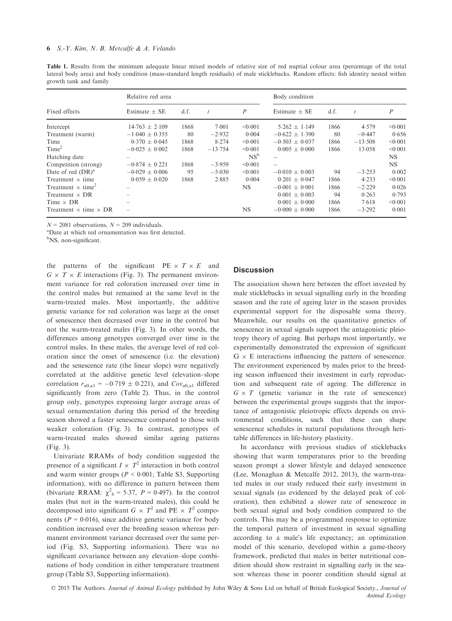Table 1. Results from the minimum adequate linear mixed models of relative size of red nuptial colour area (percentage of the total lateral body area) and body condition (mass-standard length residuals) of male sticklebacks. Random effects: fish identity nested within growth tank and family

|                                      | Relative red area  |      |           |                  | Body condition     |      |           |         |
|--------------------------------------|--------------------|------|-----------|------------------|--------------------|------|-----------|---------|
| Fixed effects                        | Estimate $\pm$ SE  | d.f. |           | $\boldsymbol{P}$ | Estimate $\pm$ SE  | d.f. |           | P       |
| Intercept                            | $14.763 \pm 2.109$ | 1868 | 7.001     | < 0.001          | $5.262 \pm 1.149$  | 1866 | 4.579     | < 0.001 |
| Treatment (warm)                     | $-1.040 \pm 0.355$ | 80   | $-2.932$  | 0.004            | $-0.622 + 1.390$   | 80   | $-0.447$  | 0.656   |
| Time                                 | $0.370 + 0.045$    | 1868 | 8.274     | < 0.001          | $-0.503 \pm 0.037$ | 1866 | $-13.508$ | < 0.001 |
| Time <sup>2</sup>                    | $-0.025 + 0.002$   | 1868 | $-13.754$ | < 0.001          | $0.005 + 0.000$    | 1866 | 13.058    | < 0.001 |
| Hatching date                        |                    |      |           | NS <sup>b</sup>  |                    |      |           | NS.     |
| Competition (strong)                 | $-0.874 \pm 0.221$ | 1868 | $-3.959$  | < 0.001          | $\qquad \qquad -$  |      |           | NS.     |
| Date of red $(DR)^a$                 | $-0.029 + 0.006$   | 95   | $-5.030$  | < 0.001          | $-0.010 + 0.003$   | 94   | $-3.253$  | 0.002   |
| Treatment $\times$ time              | $0.059 + 0.020$    | 1868 | 2.885     | 0.004            | $0.201 + 0.047$    | 1866 | 4.233     | < 0.001 |
| Treatment $\times$ time <sup>2</sup> |                    |      |           | <b>NS</b>        | $-0.001 + 0.001$   | 1866 | $-2.229$  | 0.026   |
| Treatment $\times$ DR                |                    |      |           |                  | $0.001 \pm 0.003$  | 94   | 0.263     | 0.793   |
| Time $\times$ DR                     |                    |      |           |                  | $0.001 \pm 0.000$  | 1866 | 7.618     | < 0.001 |
| Treatment $\times$ time $\times$ DR  |                    |      |           | <b>NS</b>        | $-0.000 \pm 0.000$ | 1866 | $-3.292$  | 0.001   |

 $N = 2081$  observations,  $N = 209$  individuals.

Date at which red ornamentation was first detected.

<sup>b</sup>NS, non-significant.

the patterns of the significant  $PE \times T \times E$  and  $G \times T \times E$  interactions (Fig. 3). The permanent environment variance for red coloration increased over time in the control males but remained at the same level in the warm-treated males. Most importantly, the additive genetic variance for red coloration was large at the onset of senescence then decreased over time in the control but not the warm-treated males (Fig. 3). In other words, the differences among genotypes converged over time in the control males. In these males, the average level of red coloration since the onset of senescence (i.e. the elevation) and the senescence rate (the linear slope) were negatively correlated at the additive genetic level (elevation–slope correlation  $r_{a0,a1} = -0.719 \pm 0.221$ , and  $Cov_{a0,a1}$  differed significantly from zero (Table 2). Thus, in the control group only, genotypes expressing larger average areas of sexual ornamentation during this period of the breeding season showed a faster senescence compared to those with weaker coloration (Fig. 3). In contrast, genotypes of warm-treated males showed similar ageing patterns (Fig. 3).

Univariate RRAMs of body condition suggested the presence of a significant  $I \times T^2$  interaction in both control and warm winter groups ( $P < 0.001$ ; Table S3, Supporting information), with no difference in pattern between them (bivariate RRAM:  $\chi^2$ <sub>6</sub> = 5.37, *P* = 0.497). In the control males (but not in the warm-treated males), this could be decomposed into significant  $G \times T^2$  and PE  $\times T^2$  components ( $P = 0.016$ ), since additive genetic variance for body condition increased over the breeding season whereas permanent environment variance decreased over the same period (Fig. S3, Supporting information). There was no significant covariance between any elevation–slope combinations of body condition in either temperature treatment group (Table S3, Supporting information).

# **Discussion**

The association shown here between the effort invested by male sticklebacks in sexual signalling early in the breeding season and the rate of ageing later in the season provides experimental support for the disposable soma theory. Meanwhile, our results on the quantitative genetics of senescence in sexual signals support the antagonistic pleiotropy theory of ageing. But perhaps most importantly, we experimentally demonstrated the expression of significant  $G \times E$  interactions influencing the pattern of senescence. The environment experienced by males prior to the breeding season influenced their investment in early reproduction and subsequent rate of ageing. The difference in  $G \times T$  (genetic variance in the rate of senescence) between the experimental groups suggests that the importance of antagonistic pleiotropic effects depends on environmental conditions, such that these can shape senescence schedules in natural populations through heritable differences in life-history plasticity.

In accordance with previous studies of sticklebacks showing that warm temperatures prior to the breeding season prompt a slower lifestyle and delayed senescence (Lee, Monaghan & Metcalfe 2012, 2013), the warm-treated males in our study reduced their early investment in sexual signals (as evidenced by the delayed peak of coloration), then exhibited a slower rate of senescence in both sexual signal and body condition compared to the controls. This may be a programmed response to optimize the temporal pattern of investment in sexual signalling according to a male's life expectancy; an optimization model of this scenario, developed within a game-theory framework, predicted that males in better nutritional condition should show restraint in signalling early in the season whereas those in poorer condition should signal at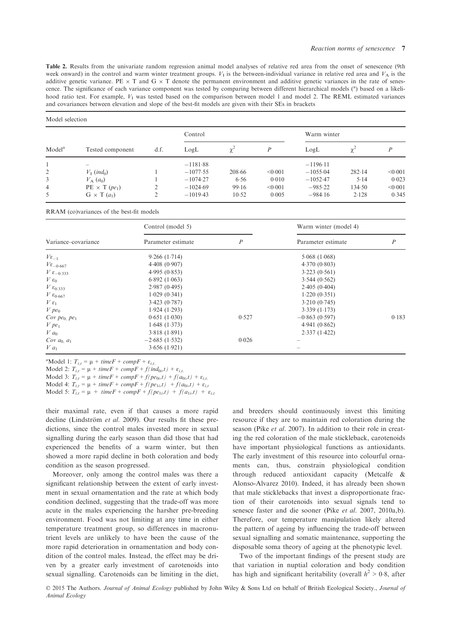Table 2. Results from the univariate random regression animal model analyses of relative red area from the onset of senescence (9th week onward) in the control and warm winter treatment groups.  $V<sub>1</sub>$  is the between-individual variance in relative red area and  $V<sub>A</sub>$  is the additive genetic variance. PE  $\times$  T and G  $\times$  T denote the permanent environment and additive genetic variances in the rate of senescence. The significance of each variance component was tested by comparing between different hierarchical models (<sup>a</sup>) based on a likelihood ratio test. For example,  $V_I$  was tested based on the comparison between model 1 and model 2. The REML estimated variances and covariances between elevation and slope of the best-fit models are given with their SEs in brackets

|                    | Tested component                 | d.f. | Control    |        |         | Warm winter |            |         |
|--------------------|----------------------------------|------|------------|--------|---------|-------------|------------|---------|
| Model <sup>a</sup> |                                  |      | LogL       |        | P       | LogL        | $\gamma^2$ |         |
|                    | $\overline{\phantom{a}}$         |      | $-1181.88$ |        |         | $-1196.11$  |            |         |
| 2                  | $V_1$ (ind <sub>0</sub> )        |      | $-1077.55$ | 208.66 | < 0.001 | $-1055.04$  | 282.14     | < 0.001 |
| 3                  | $V_{\rm A}$ $(a_0)$              |      | $-1074.27$ | 6.56   | 0.010   | $-1052.47$  | 5.14       | 0.023   |
| $\overline{4}$     | $PE \times T$ (pe <sub>1</sub> ) | ↑    | $-1024.69$ | 99.16  | < 0.001 | $-985.22$   | 134.50     | < 0.001 |
| 5                  | $G \times T(a_1)$                |      | $-1019.43$ | 10.52  | 0.005   | $-984.16$   | 2.128      | 0.345   |

RRAM (co)variances of the best-fit models

|                              | Control (model 5)  |                  | Warm winter (model 4) |                  |  |
|------------------------------|--------------------|------------------|-----------------------|------------------|--|
| Variance–covariance          | Parameter estimate | $\boldsymbol{P}$ | Parameter estimate    | $\boldsymbol{P}$ |  |
| $V\epsilon_{-1}$             | 9.266(1.714)       |                  | 5.068(1.068)          |                  |  |
| $V_{\epsilon_{-0.667}}$      | 4.408(0.907)       |                  | 4.370(0.803)          |                  |  |
| $V \varepsilon_{-0.333}$     | 4.995(0.853)       |                  | 3.223(0.561)          |                  |  |
| $V \varepsilon_0$            | 6.892(1.063)       |                  | 3.544(0.562)          |                  |  |
| $V\epsilon_{0.333}$          | 2.987(0.495)       |                  | 2.405(0.404)          |                  |  |
| V $\varepsilon_{0.667}$      | 1.029(0.341)       |                  | 1.220(0.351)          |                  |  |
| $V \varepsilon_1$            | 3.423(0.787)       |                  | 3.210(0.745)          |                  |  |
| $V$ pe <sub>0</sub>          | 1.924(1.293)       |                  | 3.339(1.173)          |                  |  |
| Cov pe <sub>0</sub> , $pe_1$ | 0.651(1.030)       | 0.527            | $-0.863(0.597)$       | 0.183            |  |
| $V$ pe <sub>1</sub>          | 1.648(1.373)       |                  | 4.941(0.862)          |                  |  |
| $V a_0$                      | 3.818(1.891)       |                  | 2.337(1.422)          |                  |  |
| Cov $a_0$ , $a_1$            | $-2.685(1.532)$    | 0.026            |                       |                  |  |
| $V a_1$                      | 3.656(1.921)       |                  |                       |                  |  |

<sup>a</sup>Model 1:  $T_{i,t} = \mu + timeF + compF + \varepsilon_{i,t}$ .

Model 2:  $T_{i,t} = \mu + timeF + compF + f(rind_{0i},t) + \varepsilon_{i,t}$ .

Model 3:  $T_{i,t} = \mu + timeF + compF + f(pe_{0i},t) + f(a_{0i},t) + \varepsilon_{i,t}$ .

Model 4:  $T_{i,t} = \mu + timeF + compF + f(pe_{1i},t) + f(a_{0i},t) + \varepsilon_{i,t}$ 

Model 5:  $T_{i,t} = \mu + timeF + compF + f(pe_{1i},t) + f(a_{1i},t) + \varepsilon_{i,t}$ 

their maximal rate, even if that causes a more rapid decline (Lindström et al. 2009). Our results fit these predictions, since the control males invested more in sexual signalling during the early season than did those that had experienced the benefits of a warm winter, but then showed a more rapid decline in both coloration and body condition as the season progressed.

Moreover, only among the control males was there a significant relationship between the extent of early investment in sexual ornamentation and the rate at which body condition declined, suggesting that the trade-off was more acute in the males experiencing the harsher pre-breeding environment. Food was not limiting at any time in either temperature treatment group, so differences in macronutrient levels are unlikely to have been the cause of the more rapid deterioration in ornamentation and body condition of the control males. Instead, the effect may be driven by a greater early investment of carotenoids into sexual signalling. Carotenoids can be limiting in the diet, and breeders should continuously invest this limiting resource if they are to maintain red coloration during the season (Pike *et al.* 2007). In addition to their role in creating the red coloration of the male stickleback, carotenoids have important physiological functions as antioxidants. The early investment of this resource into colourful ornaments can, thus, constrain physiological condition through reduced antioxidant capacity (Metcalfe & Alonso-Alvarez 2010). Indeed, it has already been shown that male sticklebacks that invest a disproportionate fraction of their carotenoids into sexual signals tend to senesce faster and die sooner (Pike et al. 2007, 2010a,b). Therefore, our temperature manipulation likely altered the pattern of ageing by influencing the trade-off between sexual signalling and somatic maintenance, supporting the disposable soma theory of ageing at the phenotypic level.

Two of the important findings of the present study are that variation in nuptial coloration and body condition has high and significant heritability (overall  $h^2 > 0.8$ , after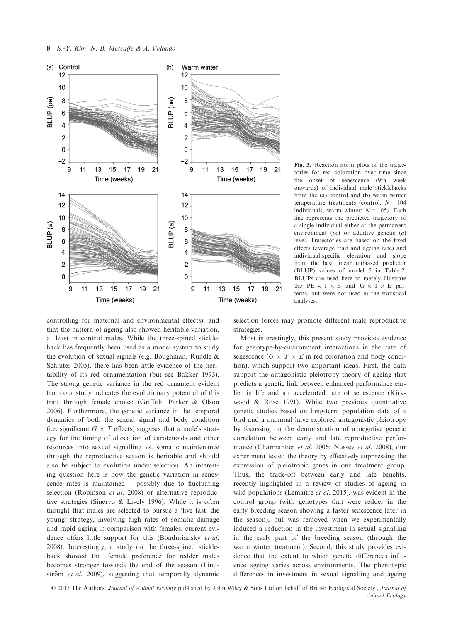

Fig. 3. Reaction norm plots of the trajectories for red coloration over time since the onset of senescence (9th week onwards) of individual male sticklebacks from the (a) control and (b) warm winter temperature treatments (control:  $N = 104$ individuals; warm winter:  $N = 105$ ). Each line represents the predicted trajectory of a single individual either at the permanent environment  $(pe)$  or additive genetic  $(a)$ level. Trajectories are based on the fixed effects (average trait and ageing rate) and individual-specific elevation and slope from the best linear unbiased predictor (BLUP) values of model 5 in Table 2. BLUPs are used here to merely illustrate the PE  $\times$  T  $\times$  E and G  $\times$  T  $\times$  E patterns, but were not used in the statistical analyses.

controlling for maternal and environmental effects), and that the pattern of ageing also showed heritable variation, at least in control males. While the three-spined stickleback has frequently been used as a model system to study the evolution of sexual signals (e.g. Boughman, Rundle & Schluter 2005), there has been little evidence of the heritability of its red ornamentation (but see Bakker 1993). The strong genetic variance in the red ornament evident from our study indicates the evolutionary potential of this trait through female choice (Griffith, Parker & Olson 2006). Furthermore, the genetic variance in the temporal dynamics of both the sexual signal and body condition (i.e. significant  $G \times T$  effects) suggests that a male's strategy for the timing of allocation of carotenoids and other resources into sexual signalling vs. somatic maintenance through the reproductive season is heritable and should also be subject to evolution under selection. An interesting question here is how the genetic variation in senescence rates is maintained – possibly due to fluctuating selection (Robinson et al. 2008) or alternative reproductive strategies (Sinervo & Lively 1996). While it is often thought that males are selected to pursue a 'live fast, die young' strategy, involving high rates of somatic damage and rapid ageing in comparison with females, current evidence offers little support for this (Bonduriansky et al. 2008). Interestingly, a study on the three-spined stickleback showed that female preference for redder males becomes stronger towards the end of the season (Lindström et al. 2009), suggesting that temporally dynamic

selection forces may promote different male reproductive strategies.

Most interestingly, this present study provides evidence for genotype-by-environment interactions in the rate of senescence ( $G \times T \times E$  in red coloration and body condition), which support two important ideas. First, the data support the antagonistic pleiotropy theory of ageing that predicts a genetic link between enhanced performance earlier in life and an accelerated rate of senescence (Kirkwood & Rose 1991). While two previous quantitative genetic studies based on long-term population data of a bird and a mammal have explored antagonistic pleiotropy by focussing on the demonstration of a negative genetic correlation between early and late reproductive performance (Charmantier et al. 2006; Nussey et al. 2008), our experiment tested the theory by effectively suppressing the expression of pleiotropic genes in one treatment group. Thus, the trade-off between early and late benefits, recently highlighted in a review of studies of ageing in wild populations (Lemaître  $et$  al. 2015), was evident in the control group (with genotypes that were redder in the early breeding season showing a faster senescence later in the season), but was removed when we experimentally induced a reduction in the investment in sexual signalling in the early part of the breeding season (through the warm winter treatment). Second, this study provides evidence that the extent to which genetic differences influence ageing varies across environments. The phenotypic differences in investment in sexual signalling and ageing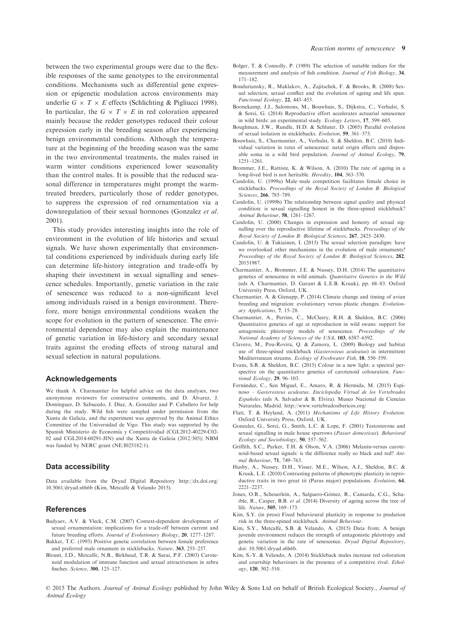between the two experimental groups were due to the flexible responses of the same genotypes to the environmental conditions. Mechanisms such as differential gene expression or epigenetic modulation across environments may underlie  $G \times T \times E$  effects (Schlichting & Pigliucci 1998). In particular, the  $G \times T \times E$  in red coloration appeared mainly because the redder genotypes reduced their colour expression early in the breeding season after experiencing benign environmental conditions. Although the temperature at the beginning of the breeding season was the same in the two environmental treatments, the males raised in warm winter conditions experienced lower seasonality than the control males. It is possible that the reduced seasonal difference in temperatures might prompt the warmtreated breeders, particularly those of redder genotypes, to suppress the expression of red ornamentation via a downregulation of their sexual hormones (Gonzalez et al. 2001).

This study provides interesting insights into the role of environment in the evolution of life histories and sexual signals. We have shown experimentally that environmental conditions experienced by individuals during early life can determine life-history integration and trade-offs by shaping their investment in sexual signalling and senescence schedules. Importantly, genetic variation in the rate of senescence was reduced to a non-significant level among individuals raised in a benign environment. Therefore, more benign environmental conditions weaken the scope for evolution in the pattern of senescence. The environmental dependence may also explain the maintenance of genetic variation in life-history and secondary sexual traits against the eroding effects of strong natural and sexual selection in natural populations.

#### Acknowledgements

We thank A. Charmantier for helpful advice on the data analyses, two anonymous reviewers for constructive comments, and D. Álvarez, J. Domínguez, D. Sabucedo, J. Díaz, A. González and P. Caballero for help during the study. Wild fish were sampled under permission from the Xunta de Galicia, and the experiment was approved by the Animal Ethics Committee of the Universidad de Vigo. This study was supported by the Spanish Ministerio de Economía y Competitividad (CGL2012-40229-C02-02 and CGL2014-60291-JIN) and the Xunta de Galicia (2012/305); NBM was funded by NERC grant (NE/I025182/1).

#### Data accessibility

Data available from the Dryad Digital Repository [http://dx.doi.org/](http://dx.doi.org/10.5061/dryad.s6h6b) [10.5061/dryad.s6h6b](http://dx.doi.org/10.5061/dryad.s6h6b) (Kim, Metcalfe & Velando 2015).

#### References

- Badyaev, A.V. & Vleck, C.M. (2007) Context-dependent development of sexual ornamentation: implications for a trade-off between current and future breeding efforts. Journal of Evolutionary Biology, 20, 1277–1287.
- Bakker, T.C. (1993) Positive genetic correlation between female preference and preferred male ornament in sticklebacks. Nature, 363, 255–257.
- Blount, J.D., Metcalfe, N.B., Birkhead, T.R. & Surai, P.F. (2003) Carotenoid modulation of immune function and sexual attractiveness in zebra finches. Science, 300, 125–127.
- Bolger, T. & Connolly, P. (1989) The selection of suitable indices for the measurement and analysis of fish condition. Journal of Fish Biology, 34, 171–182.
- Bonduriansky, R., Maklakov, A., Zajitschek, F. & Brooks, R. (2008) Sexual selection, sexual conflict and the evolution of ageing and life span. Functional Ecology, 22, 443–453.
- Boonekamp, J.J., Salomons, M., Bouwhuis, S., Dijkstra, C., Verhulst, S. & Sorci, G. (2014) Reproductive effort accelerates actuarial senescence in wild birds: an experimental study. Ecology Letters, 17, 599–605.
- Boughman, J.W., Rundle, H.D. & Schluter, D. (2005) Parallel evolution of sexual isolation in sticklebacks. Evolution, 59, 361–373.
- Bouwhuis, S., Charmantier, A., Verhulst, S. & Sheldon, B.C. (2010) Individual variation in rates of senescence: natal origin effects and disposable soma in a wild bird population. Journal of Animal Ecology, 79, 1251–1261.
- Brommer, J.E., Rattiste, K. & Wilson, A. (2010) The rate of ageing in a long-lived bird is not heritable. Heredity, 104, 363–370.
- Candolin, U. (1999a) Male–male competition facilitates female choice in sticklebacks. Proceedings of the Royal Society of London B: Biological Sciences, 266, 785–789.
- Candolin, U. (1999b) The relationship between signal quality and physical condition: is sexual signalling honest in the three-spined stickleback? Animal Behaviour, 58, 1261–1267.
- Candolin, U. (2000) Changes in expression and honesty of sexual signalling over the reproductive lifetime of sticklebacks. Proceedings of the Royal Society of London B: Biological Sciences, 267, 2425–2430.
- Candolin, U. & Tukiainen, I. (2015) The sexual selection paradigm: have we overlooked other mechanisms in the evolution of male ornaments? Proceedings of the Royal Society of London B: Biological Sciences, 282, 20151987.
- Charmantier, A., Brommer, J.E. & Nussey, D.H. (2014) The quantitative genetics of senescence in wild animals. Quantitative Genetics in the Wild (eds A. Charmantier, D. Garant & L.E.B. Kruuk), pp. 68–83. Oxford University Press, Oxford, UK.
- Charmantier, A. & Gienapp, P. (2014) Climate change and timing of avian breeding and migration: evolutionary versus plastic changes. Evolutionary Applications, 7, 15–28.
- Charmantier, A., Perrins, C., McCleery, R.H. & Sheldon, B.C. (2006) Quantitative genetics of age at reproduction in wild swans: support for antagonistic pleiotropy models of senescence. Proceedings of the National Academy of Sciences of the USA, 103, 6587–6592.
- Clavero, M., Pou-Rovira, Q. & Zamora, L. (2009) Biology and habitat use of three-spined stickleback (Gasterosteus aculeatus) in intermittent Mediterranean streams. Ecology of Freshwater Fish, 18, 550–559.
- Evans, S.R. & Sheldon, B.C. (2015) Colour in a new light: a spectral perspective on the quantitative genetics of carotenoid colouration. Functional Ecology, 29, 96–103.
- Fernández, C., San Miguel, E., Amaro, R. & Hermida, M. (2015) Espinoso – Gasterosteus aculeatus. Enciclopedia Virtual de los Vertebrados Españoles (eds A. Salvador & B. Elvira). Museo Nacional de Ciencias Naturales, Madrid.<http://www.vertebradosibericos.org/>
- Flatt, T. & Heyland, A. (2011) Mechanisms of Life History Evolution. Oxford University Press, Oxford, UK.
- Gonzalez, G., Sorci, G., Smith, L.C. & Lope, F. (2001) Testosterone and sexual signalling in male house sparrows (Passer domesticus). Behavioral Ecology and Sociobiology, 50, 557–562.
- Griffith, S.C., Parker, T.H. & Olson, V.A. (2006) Melanin-versus carotenoid-based sexual signals: is the difference really so black and red? Animal Behaviour, 71, 749–763.
- Husby, A., Nussey, D.H., Visser, M.E., Wilson, A.J., Sheldon, B.C. & Kruuk, L.E. (2010) Contrasting patterns of phenotypic plasticity in reproductive traits in two great tit (Parus major) populations. Evolution, 64, 2221–2237.
- Jones, O.R., Scheuerlein, A., Salguero-Gómez, R., Camarda, C.G., Schaible, R., Casper, B.B. et al. (2014) Diversity of ageing across the tree of life. Nature, 505, 169–173.
- Kim, S.Y. (in press) Fixed behavioural plasticity in response to predation risk in the three-spined stickleback. Animal Behaviour.
- Kim, S.Y., Metcalfe, S.B. & Velando, A. (2015) Data from: A benign juvenile environment reduces the strength of antagonistic pleiotropy and genetic variation in the rate of senescence. Dryad Digital Repository, doi: [10.5061/dryad.s6h6b.](http://dx.doi.org/10.5061/dryad.s6h6b)
- Kim, S.-Y. & Velando, A. (2014) Stickleback males increase red coloration and courtship behaviours in the presence of a competitive rival. Ethology, 120, 502–510.